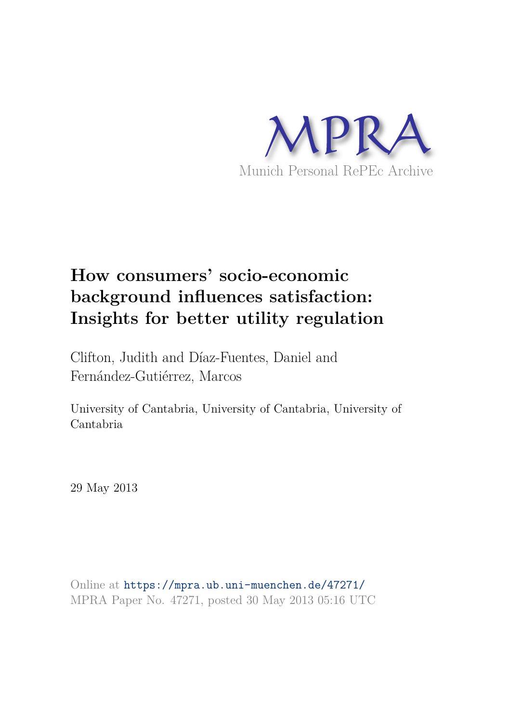

# **How consumers' socio-economic background influences satisfaction: Insights for better utility regulation**

Clifton, Judith and Díaz-Fuentes, Daniel and Fernández-Gutiérrez, Marcos

University of Cantabria, University of Cantabria, University of Cantabria

29 May 2013

Online at https://mpra.ub.uni-muenchen.de/47271/ MPRA Paper No. 47271, posted 30 May 2013 05:16 UTC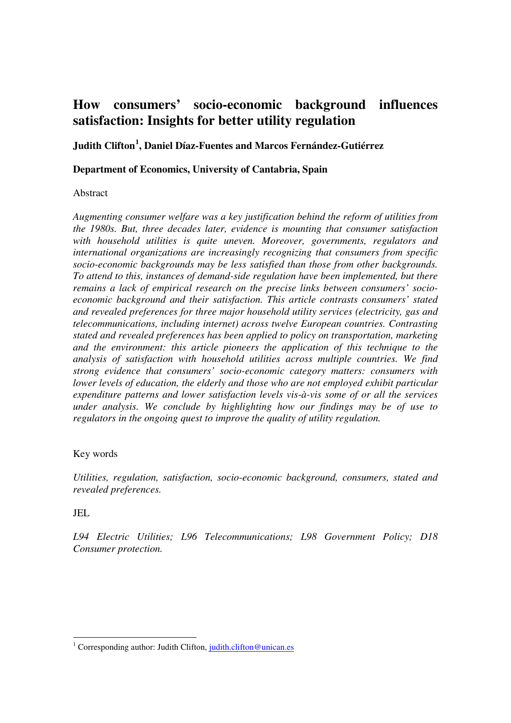# **How consumers' socio-economic background influences satisfaction: Insights for better utility regulation**

**Judith Clifton[1](#page-1-0) , Daniel Díaz-Fuentes and Marcos Fernández-Gutiérrez**

#### **Department of Economics, University of Cantabria, Spain**

#### Abstract

*Augmenting consumer welfare was a key justification behind the reform of utilities from the 1980s. But, three decades later, evidence is mounting that consumer satisfaction with household utilities is quite uneven. Moreover, governments, regulators and international organizations are increasingly recognizing that consumers from specific socio-economic backgrounds may be less satisfied than those from other backgrounds. To attend to this, instances of demand-side regulation have been implemented, but there remains a lack of empirical research on the precise links between consumers' socioeconomic background and their satisfaction. This article contrasts consumers' stated and revealed preferences for three major household utility services (electricity, gas and telecommunications, including internet) across twelve European countries. Contrasting stated and revealed preferences has been applied to policy on transportation, marketing and the environment: this article pioneers the application of this technique to the analysis of satisfaction with household utilities across multiple countries. We find strong evidence that consumers' socio-economic category matters: consumers with lower levels of education, the elderly and those who are not employed exhibit particular expenditure patterns and lower satisfaction levels vis-à-vis some of or all the services under analysis. We conclude by highlighting how our findings may be of use to regulators in the ongoing quest to improve the quality of utility regulation.* 

# Key words

*Utilities, regulation, satisfaction, socio-economic background, consumers, stated and revealed preferences.*

# JEL

-

*L94 Electric Utilities; L96 Telecommunications; L98 Government Policy; D18 Consumer protection.* 

<span id="page-1-0"></span><sup>&</sup>lt;sup>1</sup> Corresponding author: Judith Clifton, judith.clifton@unican.es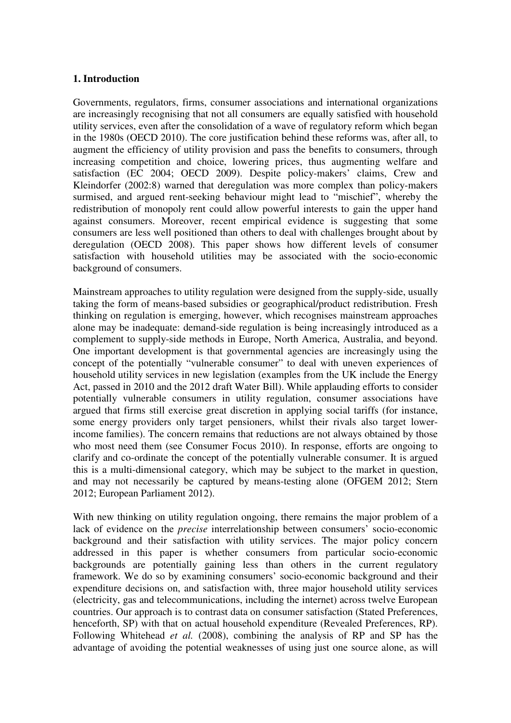#### **1. Introduction**

Governments, regulators, firms, consumer associations and international organizations are increasingly recognising that not all consumers are equally satisfied with household utility services, even after the consolidation of a wave of regulatory reform which began in the 1980s (OECD 2010). The core justification behind these reforms was, after all, to augment the efficiency of utility provision and pass the benefits to consumers, through increasing competition and choice, lowering prices, thus augmenting welfare and satisfaction (EC 2004; OECD 2009). Despite policy-makers' claims, Crew and Kleindorfer (2002:8) warned that deregulation was more complex than policy-makers surmised, and argued rent-seeking behaviour might lead to "mischief", whereby the redistribution of monopoly rent could allow powerful interests to gain the upper hand against consumers. Moreover, recent empirical evidence is suggesting that some consumers are less well positioned than others to deal with challenges brought about by deregulation (OECD 2008). This paper shows how different levels of consumer satisfaction with household utilities may be associated with the socio-economic background of consumers.

Mainstream approaches to utility regulation were designed from the supply-side, usually taking the form of means-based subsidies or geographical/product redistribution. Fresh thinking on regulation is emerging, however, which recognises mainstream approaches alone may be inadequate: demand-side regulation is being increasingly introduced as a complement to supply-side methods in Europe, North America, Australia, and beyond. One important development is that governmental agencies are increasingly using the concept of the potentially "vulnerable consumer" to deal with uneven experiences of household utility services in new legislation (examples from the UK include the Energy Act, passed in 2010 and the 2012 draft Water Bill). While applauding efforts to consider potentially vulnerable consumers in utility regulation, consumer associations have argued that firms still exercise great discretion in applying social tariffs (for instance, some energy providers only target pensioners, whilst their rivals also target lowerincome families). The concern remains that reductions are not always obtained by those who most need them (see Consumer Focus 2010). In response, efforts are ongoing to clarify and co-ordinate the concept of the potentially vulnerable consumer. It is argued this is a multi-dimensional category, which may be subject to the market in question, and may not necessarily be captured by means-testing alone (OFGEM 2012; Stern 2012; European Parliament 2012).

With new thinking on utility regulation ongoing, there remains the major problem of a lack of evidence on the *precise* interrelationship between consumers' socio-economic background and their satisfaction with utility services. The major policy concern addressed in this paper is whether consumers from particular socio-economic backgrounds are potentially gaining less than others in the current regulatory framework. We do so by examining consumers' socio-economic background and their expenditure decisions on, and satisfaction with, three major household utility services (electricity, gas and telecommunications, including the internet) across twelve European countries. Our approach is to contrast data on consumer satisfaction (Stated Preferences, henceforth, SP) with that on actual household expenditure (Revealed Preferences, RP). Following Whitehead *et al.* (2008), combining the analysis of RP and SP has the advantage of avoiding the potential weaknesses of using just one source alone, as will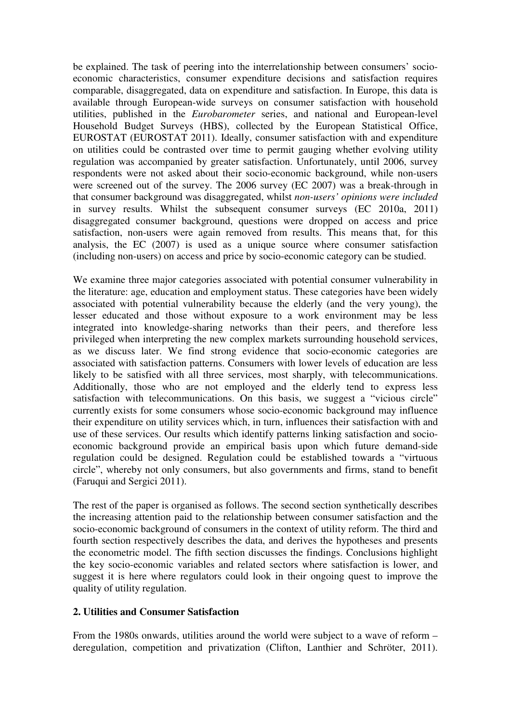be explained. The task of peering into the interrelationship between consumers' socioeconomic characteristics, consumer expenditure decisions and satisfaction requires comparable, disaggregated, data on expenditure and satisfaction. In Europe, this data is available through European-wide surveys on consumer satisfaction with household utilities, published in the *Eurobarometer* series, and national and European-level Household Budget Surveys (HBS), collected by the European Statistical Office, EUROSTAT (EUROSTAT 2011). Ideally, consumer satisfaction with and expenditure on utilities could be contrasted over time to permit gauging whether evolving utility regulation was accompanied by greater satisfaction. Unfortunately, until 2006, survey respondents were not asked about their socio-economic background, while non-users were screened out of the survey. The 2006 survey (EC 2007) was a break-through in that consumer background was disaggregated, whilst *non-users' opinions were included*  in survey results. Whilst the subsequent consumer surveys (EC 2010a, 2011) disaggregated consumer background, questions were dropped on access and price satisfaction, non-users were again removed from results. This means that, for this analysis, the EC (2007) is used as a unique source where consumer satisfaction (including non-users) on access and price by socio-economic category can be studied.

We examine three major categories associated with potential consumer vulnerability in the literature: age, education and employment status. These categories have been widely associated with potential vulnerability because the elderly (and the very young), the lesser educated and those without exposure to a work environment may be less integrated into knowledge-sharing networks than their peers, and therefore less privileged when interpreting the new complex markets surrounding household services, as we discuss later. We find strong evidence that socio-economic categories are associated with satisfaction patterns. Consumers with lower levels of education are less likely to be satisfied with all three services, most sharply, with telecommunications. Additionally, those who are not employed and the elderly tend to express less satisfaction with telecommunications. On this basis, we suggest a "vicious circle" currently exists for some consumers whose socio-economic background may influence their expenditure on utility services which, in turn, influences their satisfaction with and use of these services. Our results which identify patterns linking satisfaction and socioeconomic background provide an empirical basis upon which future demand-side regulation could be designed. Regulation could be established towards a "virtuous circle", whereby not only consumers, but also governments and firms, stand to benefit (Faruqui and Sergici 2011).

The rest of the paper is organised as follows. The second section synthetically describes the increasing attention paid to the relationship between consumer satisfaction and the socio-economic background of consumers in the context of utility reform. The third and fourth section respectively describes the data, and derives the hypotheses and presents the econometric model. The fifth section discusses the findings. Conclusions highlight the key socio-economic variables and related sectors where satisfaction is lower, and suggest it is here where regulators could look in their ongoing quest to improve the quality of utility regulation.

#### **2. Utilities and Consumer Satisfaction**

From the 1980s onwards, utilities around the world were subject to a wave of reform – deregulation, competition and privatization (Clifton, Lanthier and Schröter, 2011).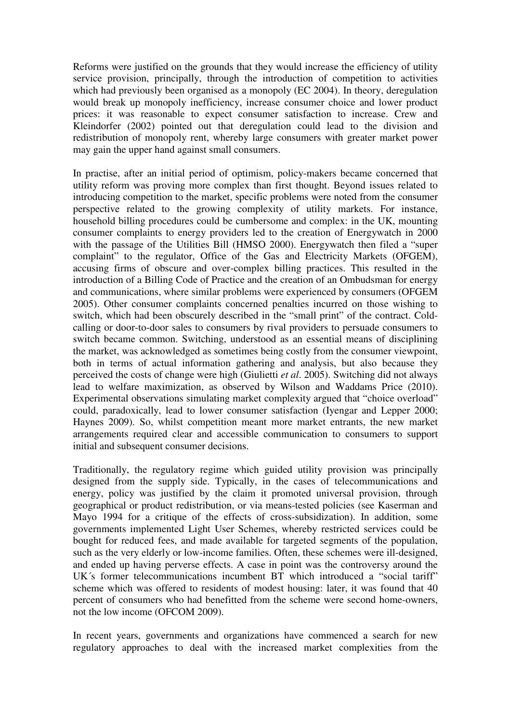Reforms were justified on the grounds that they would increase the efficiency of utility service provision, principally, through the introduction of competition to activities which had previously been organised as a monopoly (EC 2004). In theory, deregulation would break up monopoly inefficiency, increase consumer choice and lower product prices: it was reasonable to expect consumer satisfaction to increase. Crew and Kleindorfer (2002) pointed out that deregulation could lead to the division and redistribution of monopoly rent, whereby large consumers with greater market power may gain the upper hand against small consumers.

In practise, after an initial period of optimism, policy-makers became concerned that utility reform was proving more complex than first thought. Beyond issues related to introducing competition to the market, specific problems were noted from the consumer perspective related to the growing complexity of utility markets. For instance, household billing procedures could be cumbersome and complex: in the UK, mounting consumer complaints to energy providers led to the creation of Energywatch in 2000 with the passage of the Utilities Bill (HMSO 2000). Energywatch then filed a "super complaint" to the regulator, Office of the Gas and Electricity Markets (OFGEM), accusing firms of obscure and over-complex billing practices. This resulted in the introduction of a Billing Code of Practice and the creation of an Ombudsman for energy and communications, where similar problems were experienced by consumers (OFGEM 2005). Other consumer complaints concerned penalties incurred on those wishing to switch, which had been obscurely described in the "small print" of the contract. Coldcalling or door-to-door sales to consumers by rival providers to persuade consumers to switch became common. Switching, understood as an essential means of disciplining the market, was acknowledged as sometimes being costly from the consumer viewpoint, both in terms of actual information gathering and analysis, but also because they perceived the costs of change were high (Giulietti *et al*. 2005). Switching did not always lead to welfare maximization, as observed by Wilson and Waddams Price (2010). Experimental observations simulating market complexity argued that "choice overload" could, paradoxically, lead to lower consumer satisfaction (Iyengar and Lepper 2000; Haynes 2009). So, whilst competition meant more market entrants, the new market arrangements required clear and accessible communication to consumers to support initial and subsequent consumer decisions.

Traditionally, the regulatory regime which guided utility provision was principally designed from the supply side. Typically, in the cases of telecommunications and energy, policy was justified by the claim it promoted universal provision, through geographical or product redistribution, or via means-tested policies (see Kaserman and Mayo 1994 for a critique of the effects of cross-subsidization). In addition, some governments implemented Light User Schemes, whereby restricted services could be bought for reduced fees, and made available for targeted segments of the population, such as the very elderly or low-income families. Often, these schemes were ill-designed, and ended up having perverse effects. A case in point was the controversy around the UK´s former telecommunications incumbent BT which introduced a "social tariff" scheme which was offered to residents of modest housing: later, it was found that 40 percent of consumers who had benefitted from the scheme were second home-owners, not the low income (OFCOM 2009).

In recent years, governments and organizations have commenced a search for new regulatory approaches to deal with the increased market complexities from the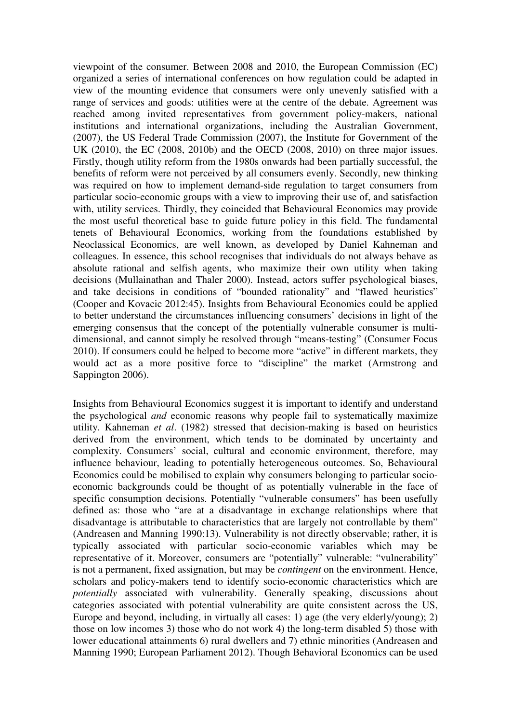viewpoint of the consumer. Between 2008 and 2010, the European Commission (EC) organized a series of international conferences on how regulation could be adapted in view of the mounting evidence that consumers were only unevenly satisfied with a range of services and goods: utilities were at the centre of the debate. Agreement was reached among invited representatives from government policy-makers, national institutions and international organizations, including the Australian Government, (2007), the US Federal Trade Commission (2007), the Institute for Government of the UK (2010), the EC (2008, 2010b) and the OECD (2008, 2010) on three major issues. Firstly, though utility reform from the 1980s onwards had been partially successful, the benefits of reform were not perceived by all consumers evenly. Secondly, new thinking was required on how to implement demand-side regulation to target consumers from particular socio-economic groups with a view to improving their use of, and satisfaction with, utility services. Thirdly, they coincided that Behavioural Economics may provide the most useful theoretical base to guide future policy in this field. The fundamental tenets of Behavioural Economics, working from the foundations established by Neoclassical Economics, are well known, as developed by Daniel Kahneman and colleagues. In essence, this school recognises that individuals do not always behave as absolute rational and selfish agents, who maximize their own utility when taking decisions (Mullainathan and Thaler 2000). Instead, actors suffer psychological biases, and take decisions in conditions of "bounded rationality" and "flawed heuristics" (Cooper and Kovacic 2012:45). Insights from Behavioural Economics could be applied to better understand the circumstances influencing consumers' decisions in light of the emerging consensus that the concept of the potentially vulnerable consumer is multidimensional, and cannot simply be resolved through "means-testing" (Consumer Focus 2010). If consumers could be helped to become more "active" in different markets, they would act as a more positive force to "discipline" the market (Armstrong and Sappington 2006).

Insights from Behavioural Economics suggest it is important to identify and understand the psychological *and* economic reasons why people fail to systematically maximize utility. Kahneman *et al*. (1982) stressed that decision-making is based on heuristics derived from the environment, which tends to be dominated by uncertainty and complexity. Consumers' social, cultural and economic environment, therefore, may influence behaviour, leading to potentially heterogeneous outcomes. So, Behavioural Economics could be mobilised to explain why consumers belonging to particular socioeconomic backgrounds could be thought of as potentially vulnerable in the face of specific consumption decisions. Potentially "vulnerable consumers" has been usefully defined as: those who "are at a disadvantage in exchange relationships where that disadvantage is attributable to characteristics that are largely not controllable by them" (Andreasen and Manning 1990:13). Vulnerability is not directly observable; rather, it is typically associated with particular socio-economic variables which may be representative of it. Moreover, consumers are "potentially" vulnerable: "vulnerability" is not a permanent, fixed assignation, but may be *contingent* on the environment. Hence, scholars and policy-makers tend to identify socio-economic characteristics which are *potentially* associated with vulnerability. Generally speaking, discussions about categories associated with potential vulnerability are quite consistent across the US, Europe and beyond, including, in virtually all cases: 1) age (the very elderly/young); 2) those on low incomes 3) those who do not work 4) the long-term disabled 5) those with lower educational attainments 6) rural dwellers and 7) ethnic minorities (Andreasen and Manning 1990; European Parliament 2012). Though Behavioral Economics can be used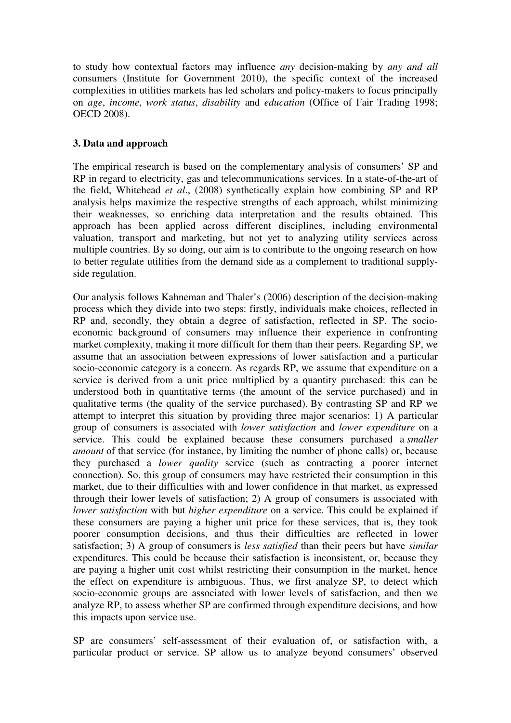to study how contextual factors may influence *any* decision-making by *any and all* consumers (Institute for Government 2010), the specific context of the increased complexities in utilities markets has led scholars and policy-makers to focus principally on *age*, *income*, *work status*, *disability* and *education* (Office of Fair Trading 1998; OECD 2008).

# **3. Data and approach**

The empirical research is based on the complementary analysis of consumers' SP and RP in regard to electricity, gas and telecommunications services. In a state-of-the-art of the field, Whitehead *et al*., (2008) synthetically explain how combining SP and RP analysis helps maximize the respective strengths of each approach, whilst minimizing their weaknesses, so enriching data interpretation and the results obtained. This approach has been applied across different disciplines, including environmental valuation, transport and marketing, but not yet to analyzing utility services across multiple countries. By so doing, our aim is to contribute to the ongoing research on how to better regulate utilities from the demand side as a complement to traditional supplyside regulation.

Our analysis follows Kahneman and Thaler's (2006) description of the decision-making process which they divide into two steps: firstly, individuals make choices, reflected in RP and, secondly, they obtain a degree of satisfaction, reflected in SP. The socioeconomic background of consumers may influence their experience in confronting market complexity, making it more difficult for them than their peers. Regarding SP, we assume that an association between expressions of lower satisfaction and a particular socio-economic category is a concern. As regards RP, we assume that expenditure on a service is derived from a unit price multiplied by a quantity purchased: this can be understood both in quantitative terms (the amount of the service purchased) and in qualitative terms (the quality of the service purchased). By contrasting SP and RP we attempt to interpret this situation by providing three major scenarios: 1) A particular group of consumers is associated with *lower satisfaction* and *lower expenditure* on a service. This could be explained because these consumers purchased a *smaller amount* of that service (for instance, by limiting the number of phone calls) or, because they purchased a *lower quality* service (such as contracting a poorer internet connection). So, this group of consumers may have restricted their consumption in this market, due to their difficulties with and lower confidence in that market, as expressed through their lower levels of satisfaction; 2) A group of consumers is associated with *lower satisfaction* with but *higher expenditure* on a service. This could be explained if these consumers are paying a higher unit price for these services, that is, they took poorer consumption decisions, and thus their difficulties are reflected in lower satisfaction; 3) A group of consumers is *less satisfied* than their peers but have *similar* expenditures. This could be because their satisfaction is inconsistent, or, because they are paying a higher unit cost whilst restricting their consumption in the market, hence the effect on expenditure is ambiguous. Thus, we first analyze SP, to detect which socio-economic groups are associated with lower levels of satisfaction, and then we analyze RP, to assess whether SP are confirmed through expenditure decisions, and how this impacts upon service use.

SP are consumers' self-assessment of their evaluation of, or satisfaction with, a particular product or service. SP allow us to analyze beyond consumers' observed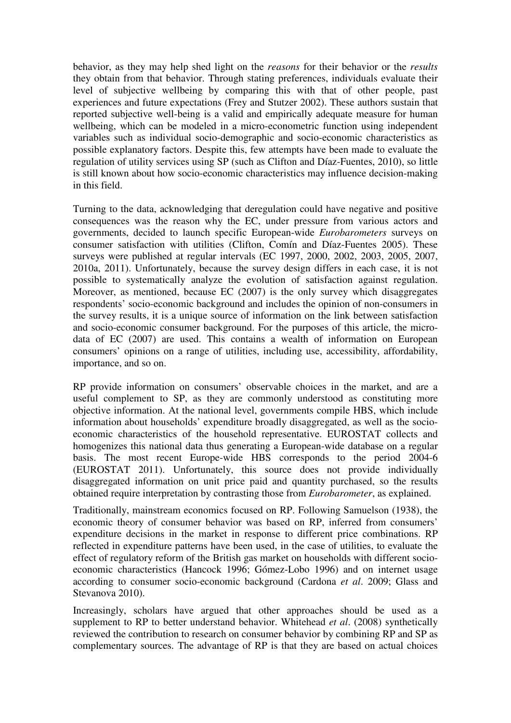behavior, as they may help shed light on the *reasons* for their behavior or the *results* they obtain from that behavior. Through stating preferences, individuals evaluate their level of subjective wellbeing by comparing this with that of other people, past experiences and future expectations (Frey and Stutzer 2002). These authors sustain that reported subjective well-being is a valid and empirically adequate measure for human wellbeing, which can be modeled in a micro-econometric function using independent variables such as individual socio-demographic and socio-economic characteristics as possible explanatory factors. Despite this, few attempts have been made to evaluate the regulation of utility services using SP (such as Clifton and Díaz-Fuentes, 2010), so little is still known about how socio-economic characteristics may influence decision-making in this field.

Turning to the data, acknowledging that deregulation could have negative and positive consequences was the reason why the EC, under pressure from various actors and governments, decided to launch specific European-wide *Eurobarometers* surveys on consumer satisfaction with utilities (Clifton, Comín and Díaz-Fuentes 2005). These surveys were published at regular intervals (EC 1997, 2000, 2002, 2003, 2005, 2007, 2010a, 2011). Unfortunately, because the survey design differs in each case, it is not possible to systematically analyze the evolution of satisfaction against regulation. Moreover, as mentioned, because EC (2007) is the only survey which disaggregates respondents' socio-economic background and includes the opinion of non-consumers in the survey results, it is a unique source of information on the link between satisfaction and socio-economic consumer background. For the purposes of this article, the microdata of EC (2007) are used. This contains a wealth of information on European consumers' opinions on a range of utilities, including use, accessibility, affordability, importance, and so on.

RP provide information on consumers' observable choices in the market, and are a useful complement to SP, as they are commonly understood as constituting more objective information. At the national level, governments compile HBS, which include information about households' expenditure broadly disaggregated, as well as the socioeconomic characteristics of the household representative. EUROSTAT collects and homogenizes this national data thus generating a European-wide database on a regular basis. The most recent Europe-wide HBS corresponds to the period 2004-6 (EUROSTAT 2011). Unfortunately, this source does not provide individually disaggregated information on unit price paid and quantity purchased, so the results obtained require interpretation by contrasting those from *Eurobarometer*, as explained.

Traditionally, mainstream economics focused on RP. Following Samuelson (1938), the economic theory of consumer behavior was based on RP, inferred from consumers' expenditure decisions in the market in response to different price combinations. RP reflected in expenditure patterns have been used, in the case of utilities, to evaluate the effect of regulatory reform of the British gas market on households with different socioeconomic characteristics (Hancock 1996; Gómez-Lobo 1996) and on internet usage according to consumer socio-economic background (Cardona *et al*. 2009; Glass and Stevanova 2010).

Increasingly, scholars have argued that other approaches should be used as a supplement to RP to better understand behavior. Whitehead *et al*. (2008) synthetically reviewed the contribution to research on consumer behavior by combining RP and SP as complementary sources. The advantage of RP is that they are based on actual choices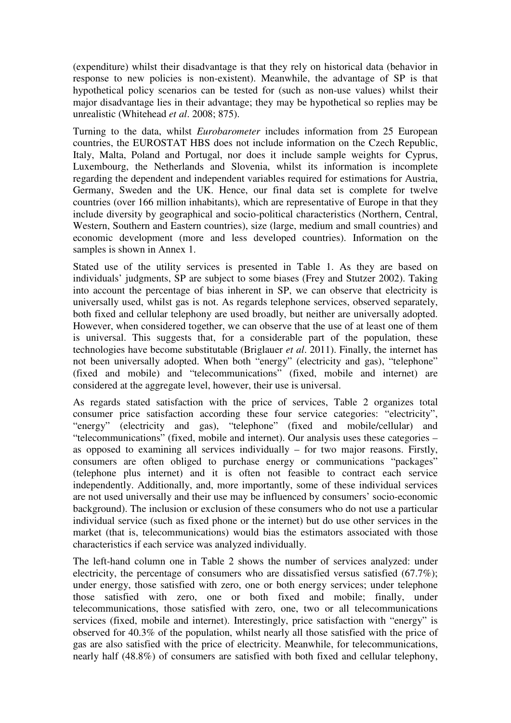(expenditure) whilst their disadvantage is that they rely on historical data (behavior in response to new policies is non-existent). Meanwhile, the advantage of SP is that hypothetical policy scenarios can be tested for (such as non-use values) whilst their major disadvantage lies in their advantage; they may be hypothetical so replies may be unrealistic (Whitehead *et al*. 2008; 875).

Turning to the data, whilst *Eurobarometer* includes information from 25 European countries, the EUROSTAT HBS does not include information on the Czech Republic, Italy, Malta, Poland and Portugal, nor does it include sample weights for Cyprus, Luxembourg, the Netherlands and Slovenia, whilst its information is incomplete regarding the dependent and independent variables required for estimations for Austria, Germany, Sweden and the UK. Hence, our final data set is complete for twelve countries (over 166 million inhabitants), which are representative of Europe in that they include diversity by geographical and socio-political characteristics (Northern, Central, Western, Southern and Eastern countries), size (large, medium and small countries) and economic development (more and less developed countries). Information on the samples is shown in Annex 1.

Stated use of the utility services is presented in Table 1. As they are based on individuals' judgments, SP are subject to some biases (Frey and Stutzer 2002). Taking into account the percentage of bias inherent in SP, we can observe that electricity is universally used, whilst gas is not. As regards telephone services, observed separately, both fixed and cellular telephony are used broadly, but neither are universally adopted. However, when considered together, we can observe that the use of at least one of them is universal. This suggests that, for a considerable part of the population, these technologies have become substitutable (Briglauer *et al*. 2011). Finally, the internet has not been universally adopted. When both "energy" (electricity and gas), "telephone" (fixed and mobile) and "telecommunications" (fixed, mobile and internet) are considered at the aggregate level, however, their use is universal.

As regards stated satisfaction with the price of services, Table 2 organizes total consumer price satisfaction according these four service categories: "electricity", "energy" (electricity and gas), "telephone" (fixed and mobile/cellular) and "telecommunications" (fixed, mobile and internet). Our analysis uses these categories – as opposed to examining all services individually – for two major reasons. Firstly, consumers are often obliged to purchase energy or communications "packages" (telephone plus internet) and it is often not feasible to contract each service independently. Additionally, and, more importantly, some of these individual services are not used universally and their use may be influenced by consumers' socio-economic background). The inclusion or exclusion of these consumers who do not use a particular individual service (such as fixed phone or the internet) but do use other services in the market (that is, telecommunications) would bias the estimators associated with those characteristics if each service was analyzed individually.

The left-hand column one in Table 2 shows the number of services analyzed: under electricity, the percentage of consumers who are dissatisfied versus satisfied (67.7%); under energy, those satisfied with zero, one or both energy services; under telephone those satisfied with zero, one or both fixed and mobile; finally, under telecommunications, those satisfied with zero, one, two or all telecommunications services (fixed, mobile and internet). Interestingly, price satisfaction with "energy" is observed for 40.3% of the population, whilst nearly all those satisfied with the price of gas are also satisfied with the price of electricity. Meanwhile, for telecommunications, nearly half (48.8%) of consumers are satisfied with both fixed and cellular telephony,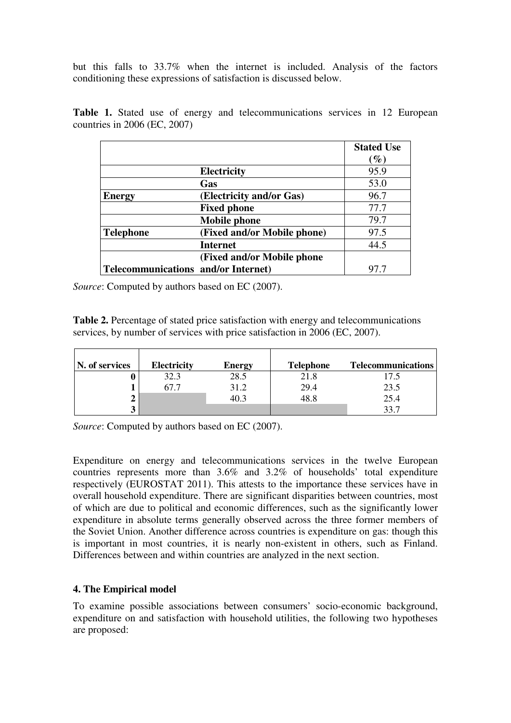but this falls to 33.7% when the internet is included. Analysis of the factors conditioning these expressions of satisfaction is discussed below.

|                                            |                             | <b>Stated Use</b> |
|--------------------------------------------|-----------------------------|-------------------|
|                                            |                             | $\mathscr{G}_o$   |
|                                            | <b>Electricity</b>          | 95.9              |
|                                            | Gas                         | 53.0              |
| <b>Energy</b>                              | (Electricity and/or Gas)    | 96.7              |
|                                            | <b>Fixed phone</b>          | 77.7              |
|                                            | <b>Mobile phone</b>         | 79.7              |
| <b>Telephone</b>                           | (Fixed and/or Mobile phone) | 97.5              |
|                                            | <b>Internet</b>             | 44.5              |
|                                            | (Fixed and/or Mobile phone  |                   |
| <b>Telecommunications and/or Internet)</b> |                             | 97.7              |

**Table 1.** Stated use of energy and telecommunications services in 12 European countries in 2006 (EC, 2007)

*Source*: Computed by authors based on EC (2007).

Table 2. Percentage of stated price satisfaction with energy and telecommunications services, by number of services with price satisfaction in 2006 (EC, 2007).

| N. of services | <b>Electricity</b> | Energy | <b>Telephone</b> | <b>Telecommunications</b> |
|----------------|--------------------|--------|------------------|---------------------------|
|                | 32.3               | 28.5   | 21.8             |                           |
|                | 67.7               | 31.2   | 29.4             | 23.5                      |
|                |                    | 40.3   | 48.8             | 25.4                      |
| J              |                    |        |                  | 22 7                      |

*Source*: Computed by authors based on EC (2007).

Expenditure on energy and telecommunications services in the twelve European countries represents more than 3.6% and 3.2% of households' total expenditure respectively (EUROSTAT 2011). This attests to the importance these services have in overall household expenditure. There are significant disparities between countries, most of which are due to political and economic differences, such as the significantly lower expenditure in absolute terms generally observed across the three former members of the Soviet Union. Another difference across countries is expenditure on gas: though this is important in most countries, it is nearly non-existent in others, such as Finland. Differences between and within countries are analyzed in the next section.

# **4. The Empirical model**

To examine possible associations between consumers' socio-economic background, expenditure on and satisfaction with household utilities, the following two hypotheses are proposed: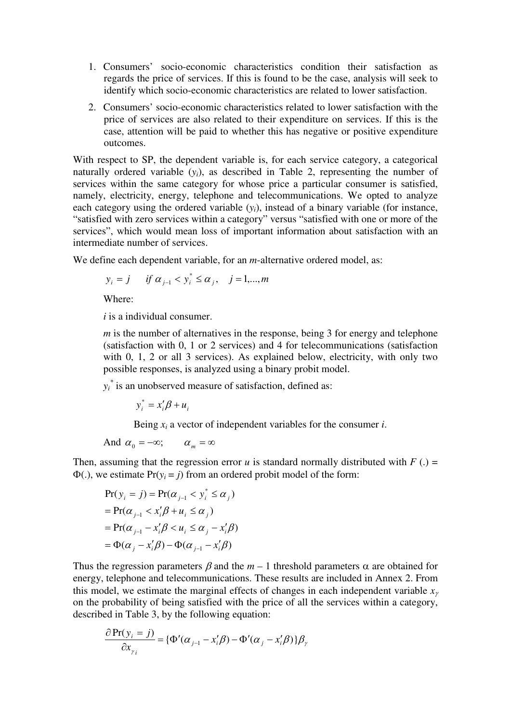- 1. Consumers' socio-economic characteristics condition their satisfaction as regards the price of services. If this is found to be the case, analysis will seek to identify which socio-economic characteristics are related to lower satisfaction.
- 2. Consumers' socio-economic characteristics related to lower satisfaction with the price of services are also related to their expenditure on services. If this is the case, attention will be paid to whether this has negative or positive expenditure outcomes.

With respect to SP, the dependent variable is, for each service category, a categorical naturally ordered variable  $(y_i)$ , as described in Table 2, representing the number of services within the same category for whose price a particular consumer is satisfied, namely, electricity, energy, telephone and telecommunications. We opted to analyze each category using the ordered variable  $(y_i)$ , instead of a binary variable (for instance, "satisfied with zero services within a category" versus "satisfied with one or more of the services", which would mean loss of important information about satisfaction with an intermediate number of services.

We define each dependent variable, for an *m*-alternative ordered model, as:

$$
y_i = j
$$
 if  $\alpha_{j-1} < y_i^* \le \alpha_j$ ,  $j = 1,...,m$ 

Where:

*i* is a individual consumer.

*m* is the number of alternatives in the response, being 3 for energy and telephone (satisfaction with 0, 1 or 2 services) and 4 for telecommunications (satisfaction with 0, 1, 2 or all 3 services). As explained below, electricity, with only two possible responses, is analyzed using a binary probit model.

 $y_i^*$  is an unobserved measure of satisfaction, defined as:

 $y_i^* = x_i' \beta + u_i$ 

Being  $x_i$  a vector of independent variables for the consumer *i*.

And 
$$
\alpha_0 = -\infty
$$
;  $\alpha_m = \infty$ 

Then, assuming that the regression error *u* is standard normally distributed with  $F(.) =$  $\Phi(.)$ , we estimate  $Pr(y_i = i)$  from an ordered probit model of the form:

$$
Pr(y_i = j) = Pr(\alpha_{j-1} < y_i^* \leq \alpha_j)
$$
\n
$$
= Pr(\alpha_{j-1} < x_i'\beta + u_i \leq \alpha_j)
$$
\n
$$
= Pr(\alpha_{j-1} - x_i'\beta < u_i \leq \alpha_j - x_i'\beta)
$$
\n
$$
= \Phi(\alpha_j - x_i'\beta) - \Phi(\alpha_{j-1} - x_i'\beta)
$$

Thus the regression parameters  $\beta$  and the  $m-1$  threshold parameters  $\alpha$  are obtained for energy, telephone and telecommunications. These results are included in Annex 2. From this model, we estimate the marginal effects of changes in each independent variable *x*<sup>γ</sup> on the probability of being satisfied with the price of all the services within a category, described in Table 3, by the following equation:

$$
\frac{\partial \Pr(y_i = j)}{\partial x_{\gamma_i}} = {\Phi'(\alpha_{j-1} - x'_i \beta) - \Phi'(\alpha_j - x'_i \beta)}\beta_{\gamma}
$$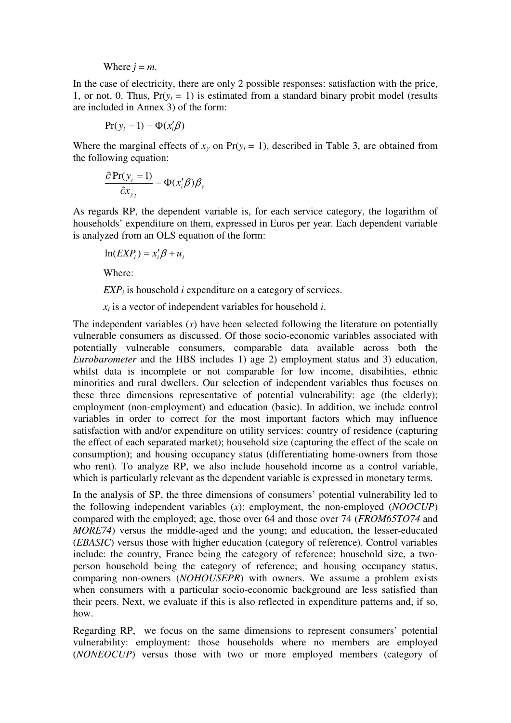#### Where  $j = m$ .

In the case of electricity, there are only 2 possible responses: satisfaction with the price, 1, or not, 0. Thus,  $Pr(y_i = 1)$  is estimated from a standard binary probit model (results are included in Annex 3) of the form:

$$
Pr(y_i = 1) = \Phi(x'_i \beta)
$$

Where the marginal effects of  $x<sub>y</sub>$  on Pr( $y<sub>i</sub> = 1$ ), described in Table 3, are obtained from the following equation:

$$
\frac{\partial \Pr(y_i = 1)}{\partial x_{\gamma_i}} = \Phi(x_i' \beta) \beta_{\gamma}
$$

As regards RP, the dependent variable is, for each service category, the logarithm of households' expenditure on them, expressed in Euros per year. Each dependent variable is analyzed from an OLS equation of the form:

$$
\ln(EXP_i) = x_i'\beta + u_i
$$

Where:

*EXP<sup>i</sup>* is household *i* expenditure on a category of services.

*xi* is a vector of independent variables for household *i*.

The independent variables  $(x)$  have been selected following the literature on potentially vulnerable consumers as discussed. Of those socio-economic variables associated with potentially vulnerable consumers, comparable data available across both the *Eurobarometer* and the HBS includes 1) age 2) employment status and 3) education, whilst data is incomplete or not comparable for low income, disabilities, ethnic minorities and rural dwellers. Our selection of independent variables thus focuses on these three dimensions representative of potential vulnerability: age (the elderly); employment (non-employment) and education (basic). In addition, we include control variables in order to correct for the most important factors which may influence satisfaction with and/or expenditure on utility services: country of residence (capturing the effect of each separated market); household size (capturing the effect of the scale on consumption); and housing occupancy status (differentiating home-owners from those who rent). To analyze RP, we also include household income as a control variable, which is particularly relevant as the dependent variable is expressed in monetary terms.

In the analysis of SP, the three dimensions of consumers' potential vulnerability led to the following independent variables (*x*): employment, the non-employed (*NOOCUP*) compared with the employed; age, those over 64 and those over 74 (*FROM65TO74* and *MORE74*) versus the middle-aged and the young; and education, the lesser-educated (*EBASIC*) versus those with higher education (category of reference). Control variables include: the country, France being the category of reference; household size, a twoperson household being the category of reference; and housing occupancy status, comparing non-owners (*NOHOUSEPR*) with owners. We assume a problem exists when consumers with a particular socio-economic background are less satisfied than their peers. Next, we evaluate if this is also reflected in expenditure patterns and, if so, how.

Regarding RP, we focus on the same dimensions to represent consumers' potential vulnerability: employment: those households where no members are employed (*NONEOCUP*) versus those with two or more employed members (category of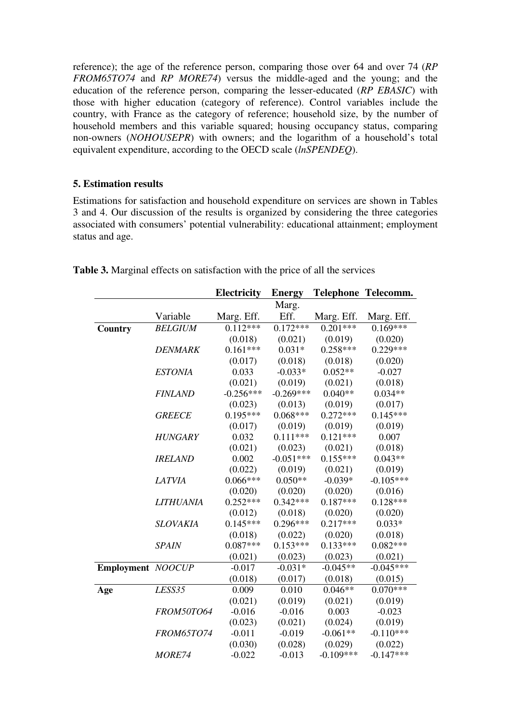reference); the age of the reference person, comparing those over 64 and over 74 (*RP FROM65TO74* and *RP MORE74*) versus the middle-aged and the young; and the education of the reference person, comparing the lesser-educated (*RP EBASIC*) with those with higher education (category of reference). Control variables include the country, with France as the category of reference; household size, by the number of household members and this variable squared; housing occupancy status, comparing non-owners (*NOHOUSEPR*) with owners; and the logarithm of a household's total equivalent expenditure, according to the OECD scale (*lnSPENDEQ*).

# **5. Estimation results**

Estimations for satisfaction and household expenditure on services are shown in Tables 3 and 4. Our discussion of the results is organized by considering the three categories associated with consumers' potential vulnerability: educational attainment; employment status and age.

|                   |                   | Electricity | <b>Energy</b> |             | Telephone Telecomm. |
|-------------------|-------------------|-------------|---------------|-------------|---------------------|
|                   |                   |             | Marg.         |             |                     |
|                   | Variable          | Marg. Eff.  | Eff.          | Marg. Eff.  | Marg. Eff.          |
| Country           | <b>BELGIUM</b>    | $0.112***$  | $0.172***$    | $0.201***$  | $0.169***$          |
|                   |                   | (0.018)     | (0.021)       | (0.019)     | (0.020)             |
|                   | <b>DENMARK</b>    | $0.161***$  | $0.031*$      | $0.258***$  | $0.229***$          |
|                   |                   | (0.017)     | (0.018)       | (0.018)     | (0.020)             |
|                   | <b>ESTONIA</b>    | 0.033       | $-0.033*$     | $0.052**$   | $-0.027$            |
|                   |                   | (0.021)     | (0.019)       | (0.021)     | (0.018)             |
|                   | <b>FINLAND</b>    | $-0.256***$ | $-0.269***$   | $0.040**$   | $0.034**$           |
|                   |                   | (0.023)     | (0.013)       | (0.019)     | (0.017)             |
|                   | <b>GREECE</b>     | $0.195***$  | $0.068***$    | $0.272***$  | $0.145***$          |
|                   |                   | (0.017)     | (0.019)       | (0.019)     | (0.019)             |
|                   | <b>HUNGARY</b>    | 0.032       | $0.111***$    | $0.121***$  | 0.007               |
|                   |                   | (0.021)     | (0.023)       | (0.021)     | (0.018)             |
|                   | <b>IRELAND</b>    | 0.002       | $-0.051***$   | $0.155***$  | $0.043**$           |
|                   |                   | (0.022)     | (0.019)       | (0.021)     | (0.019)             |
|                   | <b>LATVIA</b>     | $0.066***$  | $0.050**$     | $-0.039*$   | $-0.105***$         |
|                   |                   | (0.020)     | (0.020)       | (0.020)     | (0.016)             |
|                   | <b>LITHUANIA</b>  | $0.252***$  | $0.342***$    | $0.187***$  | $0.128***$          |
|                   |                   | (0.012)     | (0.018)       | (0.020)     | (0.020)             |
|                   | <b>SLOVAKIA</b>   | $0.145***$  | $0.296***$    | $0.217***$  | $0.033*$            |
|                   |                   | (0.018)     | (0.022)       | (0.020)     | (0.018)             |
|                   | <b>SPAIN</b>      | $0.087***$  | $0.153***$    | $0.133***$  | $0.082***$          |
|                   |                   | (0.021)     | (0.023)       | (0.023)     | (0.021)             |
| Employment NOOCUP |                   | $-0.017$    | $-0.031*$     | $-0.045**$  | $-0.045***$         |
|                   |                   | (0.018)     | (0.017)       | (0.018)     | (0.015)             |
| Age               | LESS35            | 0.009       | 0.010         | $0.046**$   | $0.070***$          |
|                   |                   | (0.021)     | (0.019)       | (0.021)     | (0.019)             |
|                   | <b>FROM50TO64</b> | $-0.016$    | $-0.016$      | 0.003       | $-0.023$            |
|                   |                   | (0.023)     | (0.021)       | (0.024)     | (0.019)             |
|                   | <b>FROM65TO74</b> | $-0.011$    | $-0.019$      | $-0.061**$  | $-0.110***$         |
|                   |                   | (0.030)     | (0.028)       | (0.029)     | (0.022)             |
|                   | <i>MORE74</i>     | $-0.022$    | $-0.013$      | $-0.109***$ | $-0.147***$         |

**Table 3.** Marginal effects on satisfaction with the price of all the services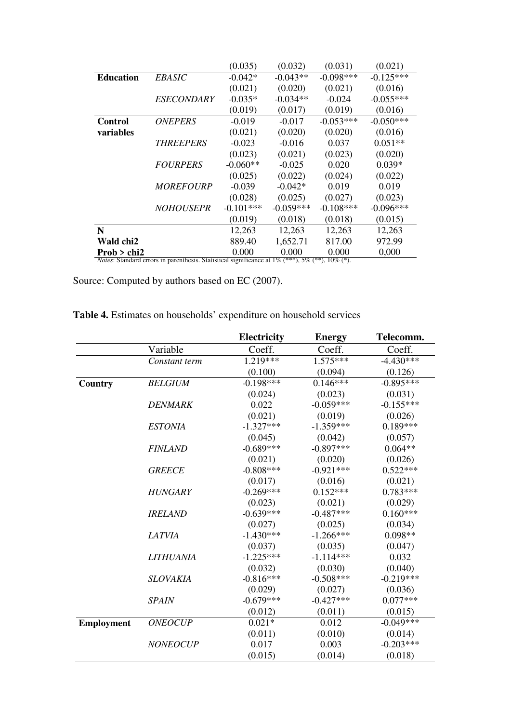|                  |                                                                                                                | (0.035)     | (0.032)     | (0.031)     | (0.021)     |
|------------------|----------------------------------------------------------------------------------------------------------------|-------------|-------------|-------------|-------------|
| <b>Education</b> | <i>EBASIC</i>                                                                                                  | $-0.042*$   | $-0.043**$  | $-0.098***$ | $-0.125***$ |
|                  |                                                                                                                | (0.021)     | (0.020)     | (0.021)     | (0.016)     |
|                  | <i>ESECONDARY</i>                                                                                              | $-0.035*$   | $-0.034**$  | $-0.024$    | $-0.055***$ |
|                  |                                                                                                                | (0.019)     | (0.017)     | (0.019)     | (0.016)     |
| <b>Control</b>   | <b>ONEPERS</b>                                                                                                 | $-0.019$    | $-0.017$    | $-0.053***$ | $-0.050***$ |
| variables        |                                                                                                                | (0.021)     | (0.020)     | (0.020)     | (0.016)     |
|                  | <b>THREEPERS</b>                                                                                               | $-0.023$    | $-0.016$    | 0.037       | $0.051**$   |
|                  |                                                                                                                | (0.023)     | (0.021)     | (0.023)     | (0.020)     |
|                  | <b>FOURPERS</b>                                                                                                | $-0.060**$  | $-0.025$    | 0.020       | $0.039*$    |
|                  |                                                                                                                | (0.025)     | (0.022)     | (0.024)     | (0.022)     |
|                  | <b>MOREFOURP</b>                                                                                               | $-0.039$    | $-0.042*$   | 0.019       | 0.019       |
|                  |                                                                                                                | (0.028)     | (0.025)     | (0.027)     | (0.023)     |
|                  | <b>NOHOUSEPR</b>                                                                                               | $-0.101***$ | $-0.059***$ | $-0.108***$ | $-0.096***$ |
|                  |                                                                                                                | (0.019)     | (0.018)     | (0.018)     | (0.015)     |
| $\mathbf N$      |                                                                                                                | 12,263      | 12,263      | 12,263      | 12,263      |
| Wald chi2        |                                                                                                                | 889.40      | 1,652.71    | 817.00      | 972.99      |
| Prob $>$ chi2    |                                                                                                                | 0.000       | 0.000       | 0.000       | 0,000       |
|                  | <i>Notes:</i> Standard errors in parenthesis. Statistical significance at $1\%$ (***), $5\%$ (**), $10\%$ (*). |             |             |             |             |

Source: Computed by authors based on EC (2007).

|                   |                 | <b>Electricity</b> | <b>Energy</b> | Telecomm.   |
|-------------------|-----------------|--------------------|---------------|-------------|
|                   | Variable        | Coeff.             | Coeff.        | Coeff.      |
|                   | Constant term   | 1.219***           | $1.575***$    | $-4.430***$ |
|                   |                 | (0.100)            | (0.094)       | (0.126)     |
| Country           | <b>BELGIUM</b>  | $-0.198***$        | $0.146***$    | $-0.895***$ |
|                   |                 | (0.024)            | (0.023)       | (0.031)     |
|                   | <b>DENMARK</b>  | 0.022              | $-0.059***$   | $-0.155***$ |
|                   |                 | (0.021)            | (0.019)       | (0.026)     |
|                   | <b>ESTONIA</b>  | $-1.327***$        | $-1.359***$   | $0.189***$  |
|                   |                 | (0.045)            | (0.042)       | (0.057)     |
|                   | <b>FINLAND</b>  | $-0.689***$        | $-0.897***$   | $0.064**$   |
|                   |                 | (0.021)            | (0.020)       | (0.026)     |
|                   | <b>GREECE</b>   | $-0.808***$        | $-0.921***$   | $0.522***$  |
|                   |                 | (0.017)            | (0.016)       | (0.021)     |
|                   | <b>HUNGARY</b>  | $-0.269***$        | $0.152***$    | $0.783***$  |
|                   |                 | (0.023)            | (0.021)       | (0.029)     |
|                   | <b>IRELAND</b>  | $-0.639***$        | $-0.487***$   | $0.160***$  |
|                   |                 | (0.027)            | (0.025)       | (0.034)     |
|                   | <b>LATVIA</b>   | $-1.430***$        | $-1.266***$   | $0.098**$   |
|                   |                 | (0.037)            | (0.035)       | (0.047)     |
|                   | LITHUANIA       | $-1.225***$        | $-1.114***$   | 0.032       |
|                   |                 | (0.032)            | (0.030)       | (0.040)     |
|                   | <b>SLOVAKIA</b> | $-0.816***$        | $-0.508***$   | $-0.219***$ |
|                   |                 | (0.029)            | (0.027)       | (0.036)     |
|                   | <b>SPAIN</b>    | $-0.679***$        | $-0.427***$   | $0.077***$  |
|                   |                 | (0.012)            | (0.011)       | (0.015)     |
| <b>Employment</b> | <b>ONEOCUP</b>  | $0.021*$           | 0.012         | $-0.049***$ |
|                   |                 | (0.011)            | (0.010)       | (0.014)     |
|                   | <b>NONEOCUP</b> | 0.017              | 0.003         | $-0.203***$ |
|                   |                 | (0.015)            | (0.014)       | (0.018)     |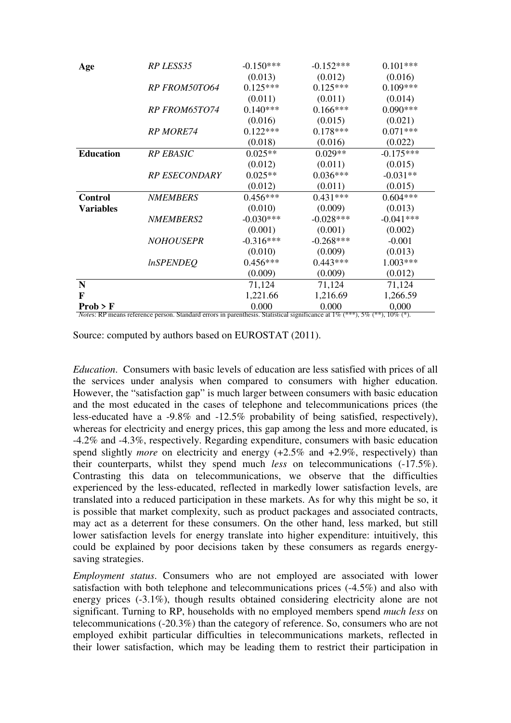| Age                                          | RP LESS35            | $-0.150***$ | $-0.152***$ | $0.101***$  |
|----------------------------------------------|----------------------|-------------|-------------|-------------|
|                                              |                      | (0.013)     | (0.012)     | (0.016)     |
|                                              | <b>RP FROM50TO64</b> | $0.125***$  | $0.125***$  | $0.109***$  |
|                                              |                      | (0.011)     | (0.011)     | (0.014)     |
|                                              | <b>RP FROM65TO74</b> | $0.140***$  | $0.166***$  | $0.090***$  |
|                                              |                      | (0.016)     | (0.015)     | (0.021)     |
|                                              | <b>RP MORE74</b>     | $0.122***$  | $0.178***$  | $0.071***$  |
|                                              |                      | (0.018)     | (0.016)     | (0.022)     |
| <b>Education</b>                             | <b>RP EBASIC</b>     | $0.025**$   | $0.029**$   | $-0.175***$ |
|                                              |                      | (0.012)     | (0.011)     | (0.015)     |
|                                              | <b>RP ESECONDARY</b> | $0.025**$   | $0.036***$  | $-0.031**$  |
|                                              |                      | (0.012)     | (0.011)     | (0.015)     |
| <b>Control</b>                               | <b>NMEMBERS</b>      | $0.456***$  | $0.431***$  | $0.604***$  |
| <b>Variables</b>                             |                      | (0.010)     | (0.009)     | (0.013)     |
|                                              | <i>NMEMBERS2</i>     | $-0.030***$ | $-0.028***$ | $-0.041***$ |
|                                              |                      | (0.001)     | (0.001)     | (0.002)     |
|                                              | <b>NOHOUSEPR</b>     | $-0.316***$ | $-0.268***$ | $-0.001$    |
|                                              |                      | (0.010)     | (0.009)     | (0.013)     |
|                                              | <i>InSPENDEQ</i>     | $0.456***$  | $0.443***$  | 1.003***    |
|                                              |                      | (0.009)     | (0.009)     | (0.012)     |
| N                                            |                      | 71,124      | 71,124      | 71,124      |
| F                                            |                      | 1,221.66    | 1,216.69    | 1,266.59    |
| Prob > F<br>Netes: PD means reference person | <b>Ctondord</b>      | 0.000       | 0.000       | 0,000       |

ans reference person. Standard errors in parenthesis. Statistical significance at  $1\%$  (\*\*\*),  $5\%$  (\*\*),  $10\%$  (\*).

Source: computed by authors based on EUROSTAT (2011).

*Education*. Consumers with basic levels of education are less satisfied with prices of all the services under analysis when compared to consumers with higher education. However, the "satisfaction gap" is much larger between consumers with basic education and the most educated in the cases of telephone and telecommunications prices (the less-educated have a -9.8% and -12.5% probability of being satisfied, respectively), whereas for electricity and energy prices, this gap among the less and more educated, is -4.2% and -4.3%, respectively. Regarding expenditure, consumers with basic education spend slightly *more* on electricity and energy (+2.5% and +2.9%, respectively) than their counterparts, whilst they spend much *less* on telecommunications (-17.5%). Contrasting this data on telecommunications, we observe that the difficulties experienced by the less-educated, reflected in markedly lower satisfaction levels, are translated into a reduced participation in these markets. As for why this might be so, it is possible that market complexity, such as product packages and associated contracts, may act as a deterrent for these consumers. On the other hand, less marked, but still lower satisfaction levels for energy translate into higher expenditure: intuitively, this could be explained by poor decisions taken by these consumers as regards energysaving strategies.

*Employment status*. Consumers who are not employed are associated with lower satisfaction with both telephone and telecommunications prices (-4.5%) and also with energy prices (-3.1%), though results obtained considering electricity alone are not significant. Turning to RP, households with no employed members spend *much less* on telecommunications (-20.3%) than the category of reference. So, consumers who are not employed exhibit particular difficulties in telecommunications markets, reflected in their lower satisfaction, which may be leading them to restrict their participation in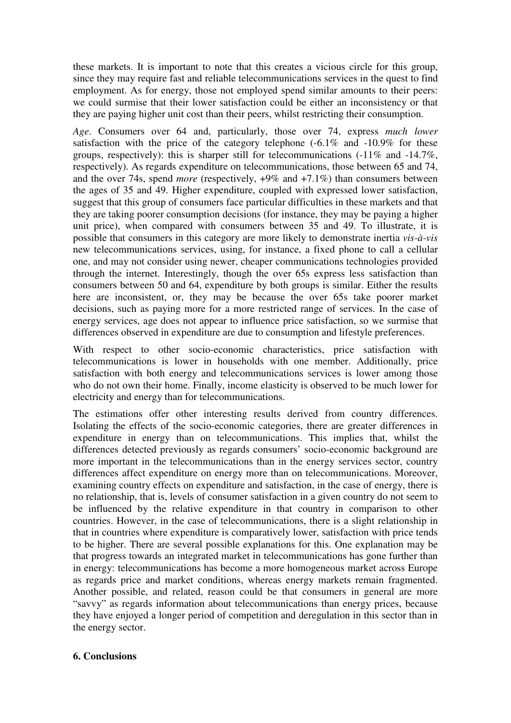these markets. It is important to note that this creates a vicious circle for this group, since they may require fast and reliable telecommunications services in the quest to find employment. As for energy, those not employed spend similar amounts to their peers: we could surmise that their lower satisfaction could be either an inconsistency or that they are paying higher unit cost than their peers, whilst restricting their consumption.

*Age*. Consumers over 64 and, particularly, those over 74, express *much lower* satisfaction with the price of the category telephone  $(-6.1\%$  and  $-10.9\%$  for these groups, respectively): this is sharper still for telecommunications (-11% and -14.7%, respectively). As regards expenditure on telecommunications, those between 65 and 74, and the over 74s, spend *more* (respectively, +9% and +7.1%) than consumers between the ages of 35 and 49. Higher expenditure, coupled with expressed lower satisfaction, suggest that this group of consumers face particular difficulties in these markets and that they are taking poorer consumption decisions (for instance, they may be paying a higher unit price), when compared with consumers between 35 and 49. To illustrate, it is possible that consumers in this category are more likely to demonstrate inertia *vis-à-vis* new telecommunications services, using, for instance, a fixed phone to call a cellular one, and may not consider using newer, cheaper communications technologies provided through the internet. Interestingly, though the over 65s express less satisfaction than consumers between 50 and 64, expenditure by both groups is similar. Either the results here are inconsistent, or, they may be because the over 65s take poorer market decisions, such as paying more for a more restricted range of services. In the case of energy services, age does not appear to influence price satisfaction, so we surmise that differences observed in expenditure are due to consumption and lifestyle preferences.

With respect to other socio-economic characteristics, price satisfaction with telecommunications is lower in households with one member. Additionally, price satisfaction with both energy and telecommunications services is lower among those who do not own their home. Finally, income elasticity is observed to be much lower for electricity and energy than for telecommunications.

The estimations offer other interesting results derived from country differences. Isolating the effects of the socio-economic categories, there are greater differences in expenditure in energy than on telecommunications. This implies that, whilst the differences detected previously as regards consumers' socio-economic background are more important in the telecommunications than in the energy services sector, country differences affect expenditure on energy more than on telecommunications. Moreover, examining country effects on expenditure and satisfaction, in the case of energy, there is no relationship, that is, levels of consumer satisfaction in a given country do not seem to be influenced by the relative expenditure in that country in comparison to other countries. However, in the case of telecommunications, there is a slight relationship in that in countries where expenditure is comparatively lower, satisfaction with price tends to be higher. There are several possible explanations for this. One explanation may be that progress towards an integrated market in telecommunications has gone further than in energy: telecommunications has become a more homogeneous market across Europe as regards price and market conditions, whereas energy markets remain fragmented. Another possible, and related, reason could be that consumers in general are more "savvy" as regards information about telecommunications than energy prices, because they have enjoyed a longer period of competition and deregulation in this sector than in the energy sector.

#### **6. Conclusions**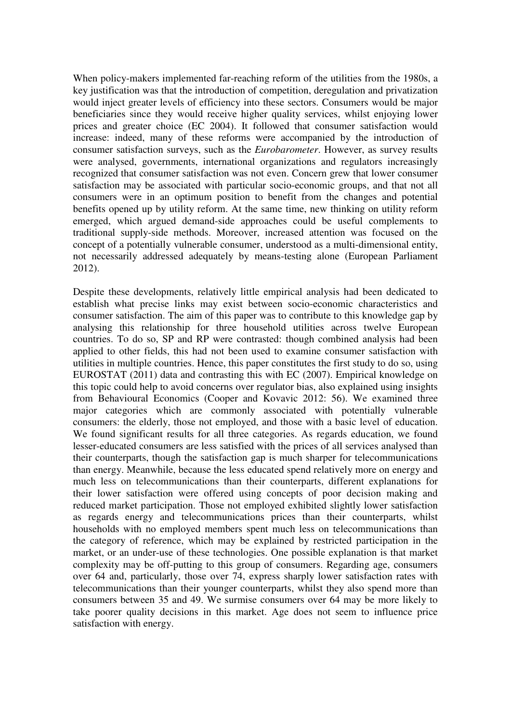When policy-makers implemented far-reaching reform of the utilities from the 1980s, a key justification was that the introduction of competition, deregulation and privatization would inject greater levels of efficiency into these sectors. Consumers would be major beneficiaries since they would receive higher quality services, whilst enjoying lower prices and greater choice (EC 2004). It followed that consumer satisfaction would increase: indeed, many of these reforms were accompanied by the introduction of consumer satisfaction surveys, such as the *Eurobarometer*. However, as survey results were analysed, governments, international organizations and regulators increasingly recognized that consumer satisfaction was not even. Concern grew that lower consumer satisfaction may be associated with particular socio-economic groups, and that not all consumers were in an optimum position to benefit from the changes and potential benefits opened up by utility reform. At the same time, new thinking on utility reform emerged, which argued demand-side approaches could be useful complements to traditional supply-side methods. Moreover, increased attention was focused on the concept of a potentially vulnerable consumer, understood as a multi-dimensional entity, not necessarily addressed adequately by means-testing alone (European Parliament 2012).

Despite these developments, relatively little empirical analysis had been dedicated to establish what precise links may exist between socio-economic characteristics and consumer satisfaction. The aim of this paper was to contribute to this knowledge gap by analysing this relationship for three household utilities across twelve European countries. To do so, SP and RP were contrasted: though combined analysis had been applied to other fields, this had not been used to examine consumer satisfaction with utilities in multiple countries. Hence, this paper constitutes the first study to do so, using EUROSTAT (2011) data and contrasting this with EC (2007). Empirical knowledge on this topic could help to avoid concerns over regulator bias, also explained using insights from Behavioural Economics (Cooper and Kovavic 2012: 56). We examined three major categories which are commonly associated with potentially vulnerable consumers: the elderly, those not employed, and those with a basic level of education. We found significant results for all three categories. As regards education, we found lesser-educated consumers are less satisfied with the prices of all services analysed than their counterparts, though the satisfaction gap is much sharper for telecommunications than energy. Meanwhile, because the less educated spend relatively more on energy and much less on telecommunications than their counterparts, different explanations for their lower satisfaction were offered using concepts of poor decision making and reduced market participation. Those not employed exhibited slightly lower satisfaction as regards energy and telecommunications prices than their counterparts, whilst households with no employed members spent much less on telecommunications than the category of reference, which may be explained by restricted participation in the market, or an under-use of these technologies. One possible explanation is that market complexity may be off-putting to this group of consumers. Regarding age, consumers over 64 and, particularly, those over 74, express sharply lower satisfaction rates with telecommunications than their younger counterparts, whilst they also spend more than consumers between 35 and 49. We surmise consumers over 64 may be more likely to take poorer quality decisions in this market. Age does not seem to influence price satisfaction with energy.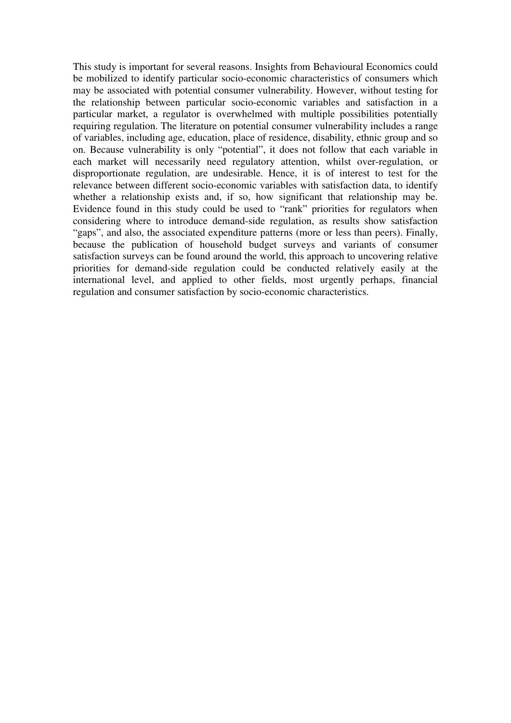This study is important for several reasons. Insights from Behavioural Economics could be mobilized to identify particular socio-economic characteristics of consumers which may be associated with potential consumer vulnerability. However, without testing for the relationship between particular socio-economic variables and satisfaction in a particular market, a regulator is overwhelmed with multiple possibilities potentially requiring regulation. The literature on potential consumer vulnerability includes a range of variables, including age, education, place of residence, disability, ethnic group and so on. Because vulnerability is only "potential", it does not follow that each variable in each market will necessarily need regulatory attention, whilst over-regulation, or disproportionate regulation, are undesirable. Hence, it is of interest to test for the relevance between different socio-economic variables with satisfaction data, to identify whether a relationship exists and, if so, how significant that relationship may be. Evidence found in this study could be used to "rank" priorities for regulators when considering where to introduce demand-side regulation, as results show satisfaction "gaps", and also, the associated expenditure patterns (more or less than peers). Finally, because the publication of household budget surveys and variants of consumer satisfaction surveys can be found around the world, this approach to uncovering relative priorities for demand-side regulation could be conducted relatively easily at the international level, and applied to other fields, most urgently perhaps, financial regulation and consumer satisfaction by socio-economic characteristics.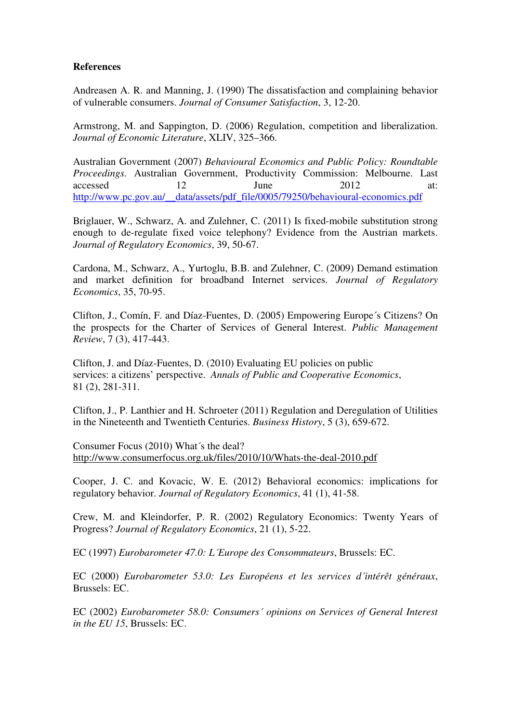#### **References**

Andreasen A. R. and Manning, J. (1990) The dissatisfaction and complaining behavior of vulnerable consumers. *Journal of Consumer Satisfaction*, 3, 12-20.

Armstrong, M. and Sappington, D. (2006) Regulation, competition and liberalization. *Journal of Economic Literature*, XLIV, 325–366.

Australian Government (2007) *Behavioural Economics and Public Policy: Roundtable Proceedings.* Australian Government, Productivity Commission: Melbourne. Last accessed 12 June 2012 at: http://www.pc.gov.au/\_\_data/assets/pdf\_file/0005/79250/behavioural-economics.pdf

Briglauer, W., Schwarz, A. and Zulehner, C. (2011) Is fixed-mobile substitution strong enough to de-regulate fixed voice telephony? Evidence from the Austrian markets. *Journal of Regulatory Economics*, 39, 50-67.

Cardona, M., Schwarz, A., Yurtoglu, B.B. and Zulehner, C. (2009) Demand estimation and market definition for broadband Internet services. *Journal of Regulatory Economics*, 35, 70-95.

Clifton, J., Comín, F. and Díaz-Fuentes, D. (2005) Empowering Europe´s Citizens? On the prospects for the Charter of Services of General Interest. *Public Management Review*, 7 (3), 417-443.

Clifton, J. and Díaz-Fuentes, D. (2010) Evaluating EU policies on public services: a citizens' perspective. *Annals of Public and Cooperative Economics*, 81 (2), 281-311.

Clifton, J., P. Lanthier and H. Schroeter (2011) Regulation and Deregulation of Utilities in the Nineteenth and Twentieth Centuries. *Business History*, 5 (3), 659-672.

Consumer Focus (2010) What´s the deal? http://www.consumerfocus.org.uk/files/2010/10/Whats-the-deal-2010.pdf

Cooper, J. C. and Kovacic, W. E. (2012) Behavioral economics: implications for regulatory behavior. *Journal of Regulatory Economics*, 41 (1), 41-58.

Crew, M. and Kleindorfer, P. R. (2002) Regulatory Economics: Twenty Years of Progress? *Journal of Regulatory Economics*, 21 (1), 5-22.

EC (1997) *Eurobarometer 47.0: L´Europe des Consommateurs*, Brussels: EC.

EC (2000) *Eurobarometer 53.0: Les Européens et les services d´intérêt généraux*, Brussels: EC.

EC (2002) *Eurobarometer 58.0: Consumers´ opinions on Services of General Interest in the EU 15*, Brussels: EC.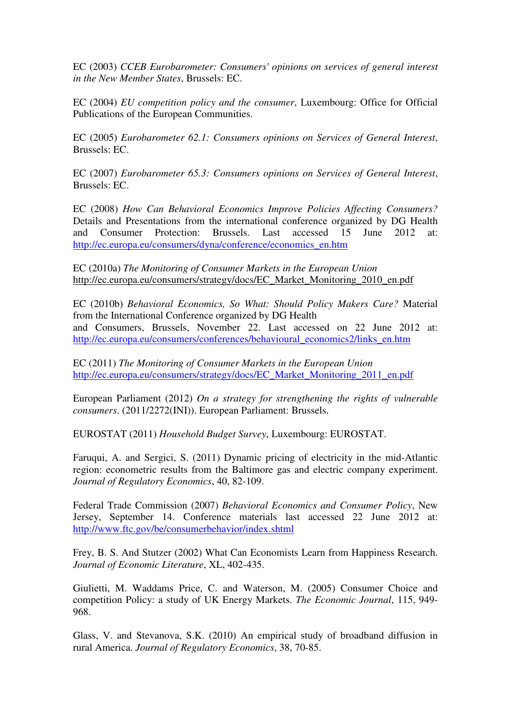EC (2003) *CCEB Eurobarometer: Consumers' opinions on services of general interest in the New Member States*, Brussels: EC.

EC (2004) *EU competition policy and the consumer*, Luxembourg: Office for Official Publications of the European Communities.

EC (2005) *Eurobarometer 62.1: Consumers opinions on Services of General Interest*, Brussels: EC.

EC (2007) *Eurobarometer 65.3: Consumers opinions on Services of General Interest*, Brussels: EC.

EC (2008) *How Can Behavioral Economics Improve Policies Affecting Consumers?* Details and Presentations from the international conference organized by DG Health and Consumer Protection: Brussels. Last accessed 15 June 2012 at: http://ec.europa.eu/consumers/dyna/conference/economics\_en.htm

EC (2010a) *The Monitoring of Consumer Markets in the European Union* http://ec.europa.eu/consumers/strategy/docs/EC\_Market\_Monitoring\_2010\_en.pdf

EC (2010b) *Behavioral Economics, So What: Should Policy Makers Care?* Material from the International Conference organized by DG Health and Consumers, Brussels, November 22. Last accessed on 22 June 2012 at: http://ec.europa.eu/consumers/conferences/behavioural\_economics2/links\_en.htm

EC (2011) *The Monitoring of Consumer Markets in the European Union* http://ec.europa.eu/consumers/strategy/docs/EC\_Market\_Monitoring\_2011\_en.pdf

European Parliament (2012) *On a strategy for strengthening the rights of vulnerable consumers*. (2011/2272(INI)). European Parliament: Brussels.

EUROSTAT (2011) *Household Budget Survey*, Luxembourg: EUROSTAT.

Faruqui, A. and Sergici, S. (2011) Dynamic pricing of electricity in the mid-Atlantic region: econometric results from the Baltimore gas and electric company experiment. *Journal of Regulatory Economics*, 40, 82-109.

Federal Trade Commission (2007) *Behavioral Economics and Consumer Policy*, New Jersey, September 14. Conference materials last accessed 22 June 2012 at: http://www.ftc.gov/be/consumerbehavior/index.shtml

Frey, B. S. And Stutzer (2002) What Can Economists Learn from Happiness Research. *Journal of Economic Literature*, XL, 402-435.

Giulietti, M. Waddams Price, C. and Waterson, M. (2005) Consumer Choice and competition Policy: a study of UK Energy Markets. *The Economic Journal*, 115, 949- 968.

Glass, V. and Stevanova, S.K. (2010) An empirical study of broadband diffusion in rural America. *Journal of Regulatory Economics*, 38, 70-85.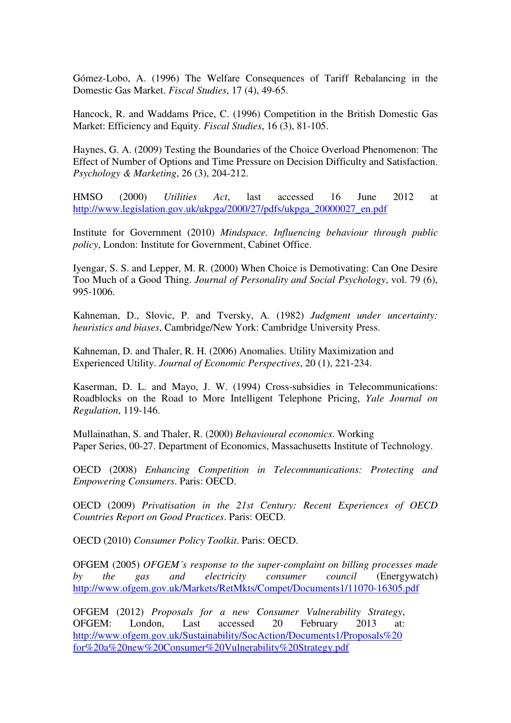Gómez-Lobo, A. (1996) The Welfare Consequences of Tariff Rebalancing in the Domestic Gas Market. *Fiscal Studies*, 17 (4), 49-65.

Hancock, R. and Waddams Price, C. (1996) Competition in the British Domestic Gas Market: Efficiency and Equity. *Fiscal Studies*, 16 (3), 81-105.

Haynes, G. A. (2009) Testing the Boundaries of the Choice Overload Phenomenon: The Effect of Number of Options and Time Pressure on Decision Difficulty and Satisfaction. *Psychology & Marketing*, 26 (3), 204-212.

HMSO (2000) *Utilities Act*, last accessed 16 June 2012 at http://www.legislation.gov.uk/ukpga/2000/27/pdfs/ukpga\_20000027\_en.pdf

Institute for Government (2010) *Mindspace. Influencing behaviour through public policy*, London: Institute for Government, Cabinet Office.

Iyengar, S. S. and Lepper, M. R. (2000) When Choice is Demotivating: Can One Desire Too Much of a Good Thing. *Journal of Personality and Social Psychology*, vol. 79 (6), 995-1006.

Kahneman, D., Slovic, P. and Tversky, A. (1982) *Judgment under uncertainty: heuristics and biases*, Cambridge/New York: Cambridge University Press.

Kahneman, D. and Thaler, R. H. (2006) Anomalies. Utility Maximization and Experienced Utility. *Journal of Economic Perspectives*, 20 (1), 221-234.

Kaserman, D. L. and Mayo, J. W. (1994) Cross-subsidies in Telecommunications: Roadblocks on the Road to More Intelligent Telephone Pricing, *Yale Journal on Regulation*, 119-146.

Mullainathan, S. and Thaler, R. (2000) *Behavioural economics*. Working Paper Series, 00-27. Department of Economics, Massachusetts Institute of Technology.

OECD (2008) *Enhancing Competition in Telecommunications: Protecting and Empowering Consumers*. Paris: OECD.

OECD (2009) *Privatisation in the 21st Century: Recent Experiences of OECD Countries Report on Good Practices*. Paris: OECD.

OECD (2010) *Consumer Policy Toolkit*. Paris: OECD.

OFGEM (2005) *OFGEM´s response to the super-complaint on billing processes made by the gas and electricity consumer council* (Energywatch) http://www.ofgem.gov.uk/Markets/RetMkts/Compet/Documents1/11070-16305.pdf

OFGEM (2012) *Proposals for a new Consumer Vulnerability Strategy*, OFGEM: London, Last accessed 20 February 2013 at: http://www.ofgem.gov.uk/Sustainability/SocAction/Documents1/Proposals%20 for%20a%20new%20Consumer%20Vulnerability%20Strategy.pdf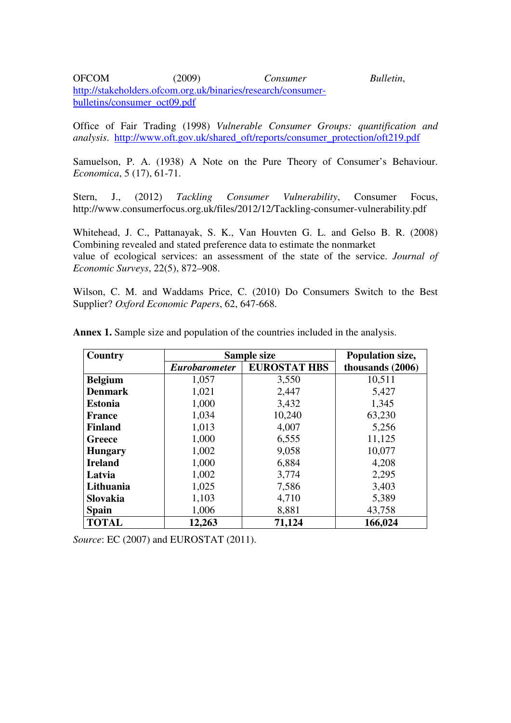OFCOM (2009) *Consumer Bulletin*, http://stakeholders.ofcom.org.uk/binaries/research/consumerbulletins/consumer\_oct09.pdf

Office of Fair Trading (1998) *Vulnerable Consumer Groups: quantification and analysis*. http://www.oft.gov.uk/shared\_oft/reports/consumer\_protection/oft219.pdf

Samuelson, P. A. (1938) A Note on the Pure Theory of Consumer's Behaviour. *Economica*, 5 (17), 61-71.

Stern, J., (2012) *Tackling Consumer Vulnerability*, Consumer Focus, http://www.consumerfocus.org.uk/files/2012/12/Tackling-consumer-vulnerability.pdf

Whitehead, J. C., Pattanayak, S. K., Van Houvten G. L. and Gelso B. R. (2008) Combining revealed and stated preference data to estimate the nonmarket value of ecological services: an assessment of the state of the service. *Journal of Economic Surveys*, 22(5), 872–908.

Wilson, C. M. and Waddams Price, C. (2010) Do Consumers Switch to the Best Supplier? *Oxford Economic Papers*, 62, 647-668.

| Country         |                      | Sample size         | Population size, |
|-----------------|----------------------|---------------------|------------------|
|                 | <b>Eurobarometer</b> | <b>EUROSTAT HBS</b> | thousands (2006) |
| <b>Belgium</b>  | 1,057                | 3,550               | 10,511           |
| <b>Denmark</b>  | 1,021                | 2,447               | 5,427            |
| <b>Estonia</b>  | 1,000                | 3,432               | 1,345            |
| <b>France</b>   | 1,034                | 10,240              | 63,230           |
| <b>Finland</b>  | 1,013                | 4,007               | 5,256            |
| Greece          | 1,000                | 6,555               | 11,125           |
| <b>Hungary</b>  | 1,002                | 9,058               | 10,077           |
| <b>Ireland</b>  | 1,000                | 6,884               | 4,208            |
| Latvia          | 1,002                | 3,774               | 2,295            |
| Lithuania       | 1,025                | 7,586               | 3,403            |
| <b>Slovakia</b> | 1,103                | 4,710               | 5,389            |
| <b>Spain</b>    | 1,006                | 8,881               | 43,758           |
| <b>TOTAL</b>    | 12,263               | 71,124              | 166,024          |

**Annex 1.** Sample size and population of the countries included in the analysis.

*Source*: *EC* (2007) and *EUROSTAT* (2011).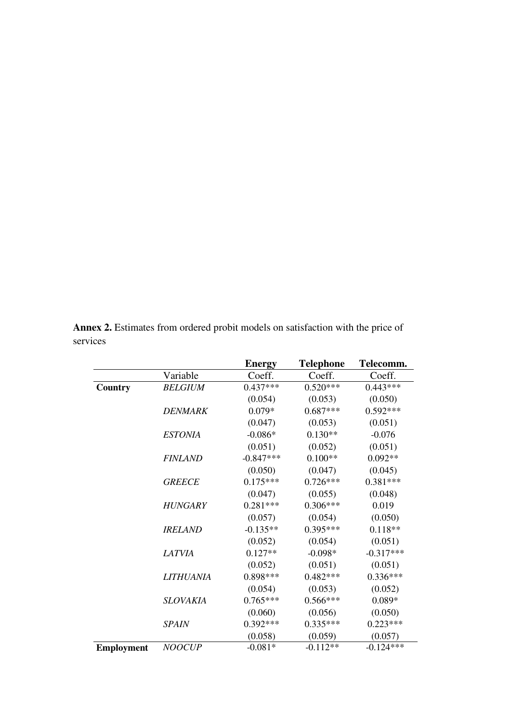|                   |                  | <b>Energy</b> | <b>Telephone</b> | Telecomm.   |
|-------------------|------------------|---------------|------------------|-------------|
|                   | Variable         | Coeff.        | Coeff.           | Coeff.      |
| Country           | <b>BELGIUM</b>   | $0.437***$    | $0.520***$       | $0.443***$  |
|                   |                  | (0.054)       | (0.053)          | (0.050)     |
|                   | <b>DENMARK</b>   | $0.079*$      | $0.687***$       | $0.592***$  |
|                   |                  | (0.047)       | (0.053)          | (0.051)     |
|                   | <b>ESTONIA</b>   | $-0.086*$     | $0.130**$        | $-0.076$    |
|                   |                  | (0.051)       | (0.052)          | (0.051)     |
|                   | <b>FINLAND</b>   | $-0.847***$   | $0.100**$        | $0.092**$   |
|                   |                  | (0.050)       | (0.047)          | (0.045)     |
|                   | <b>GREECE</b>    | $0.175***$    | $0.726***$       | $0.381***$  |
|                   |                  | (0.047)       | (0.055)          | (0.048)     |
|                   | <b>HUNGARY</b>   | $0.281***$    | $0.306***$       | 0.019       |
|                   |                  | (0.057)       | (0.054)          | (0.050)     |
|                   | <b>IRELAND</b>   | $-0.135**$    | $0.395***$       | $0.118**$   |
|                   |                  | (0.052)       | (0.054)          | (0.051)     |
|                   | LATVIA           | $0.127**$     | $-0.098*$        | $-0.317***$ |
|                   |                  | (0.052)       | (0.051)          | (0.051)     |
|                   | <b>LITHUANIA</b> | 0.898***      | $0.482***$       | $0.336***$  |
|                   |                  | (0.054)       | (0.053)          | (0.052)     |
|                   | <b>SLOVAKIA</b>  | $0.765***$    | $0.566***$       | $0.089*$    |
|                   |                  | (0.060)       | (0.056)          | (0.050)     |
|                   | <b>SPAIN</b>     | $0.392***$    | $0.335***$       | $0.223***$  |
|                   |                  | (0.058)       | (0.059)          | (0.057)     |
| <b>Employment</b> | <b>NOOCUP</b>    | $-0.081*$     | $-0.112**$       | $-0.124***$ |

**Annex 2.** Estimates from ordered probit models on satisfaction with the price of services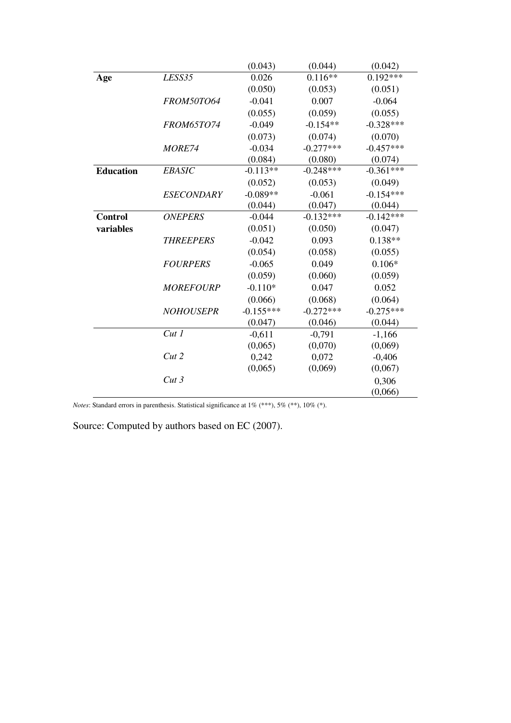|                  |                   | (0.043)     | (0.044)     | (0.042)     |
|------------------|-------------------|-------------|-------------|-------------|
| Age              | <i>LESS35</i>     | 0.026       | $0.116**$   | $0.192***$  |
|                  |                   | (0.050)     | (0.053)     | (0.051)     |
|                  | FROM50TO64        | $-0.041$    | 0.007       | $-0.064$    |
|                  |                   | (0.055)     | (0.059)     | (0.055)     |
|                  | <b>FROM65TO74</b> | $-0.049$    | $-0.154**$  | $-0.328***$ |
|                  |                   | (0.073)     | (0.074)     | (0.070)     |
|                  | MORE74            | $-0.034$    | $-0.277***$ | $-0.457***$ |
|                  |                   | (0.084)     | (0.080)     | (0.074)     |
| <b>Education</b> | <b>EBASIC</b>     | $-0.113**$  | $-0.248***$ | $-0.361***$ |
|                  |                   | (0.052)     | (0.053)     | (0.049)     |
|                  | <b>ESECONDARY</b> | $-0.089**$  | $-0.061$    | $-0.154***$ |
|                  |                   | (0.044)     | (0.047)     | (0.044)     |
| <b>Control</b>   | <b>ONEPERS</b>    | $-0.044$    | $-0.132***$ | $-0.142***$ |
| variables        |                   | (0.051)     | (0.050)     | (0.047)     |
|                  | <b>THREEPERS</b>  | $-0.042$    | 0.093       | $0.138**$   |
|                  |                   | (0.054)     | (0.058)     | (0.055)     |
|                  | <b>FOURPERS</b>   | $-0.065$    | 0.049       | $0.106*$    |
|                  |                   | (0.059)     | (0.060)     | (0.059)     |
|                  | <b>MOREFOURP</b>  | $-0.110*$   | 0.047       | 0.052       |
|                  |                   | (0.066)     | (0.068)     | (0.064)     |
|                  | <b>NOHOUSEPR</b>  | $-0.155***$ | $-0.272***$ | $-0.275***$ |
|                  |                   | (0.047)     | (0.046)     | (0.044)     |
|                  | Cut 1             | $-0,611$    | $-0,791$    | $-1,166$    |
|                  |                   | (0,065)     | (0,070)     | (0,069)     |
|                  | Cut 2             | 0,242       | 0,072       | $-0,406$    |
|                  |                   | (0,065)     | (0,069)     | (0,067)     |
|                  | Cut3              |             |             | 0,306       |
|                  |                   |             |             | (0,066)     |

*Notes*: Standard errors in parenthesis. Statistical significance at 1% (\*\*\*), 5% (\*\*), 10% (\*).

Source: Computed by authors based on EC (2007).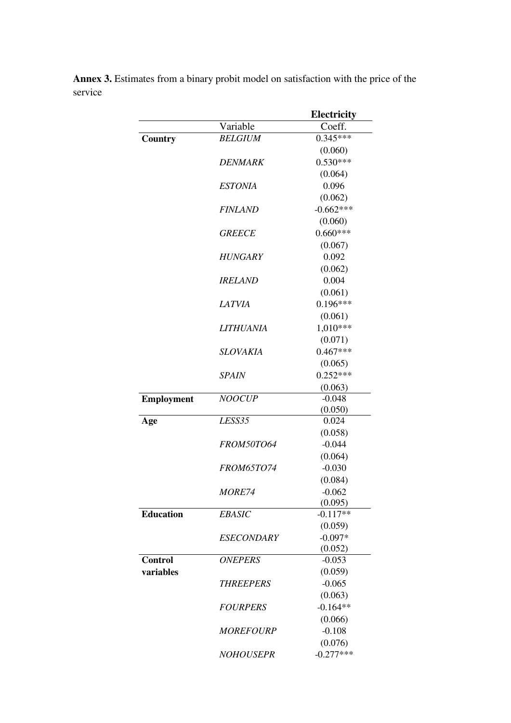| Coeff.<br>Variable<br>$0.345***$<br><b>BELGIUM</b><br>Country<br>(0.060)<br>$0.530***$<br><i><b>DENMARK</b></i><br>(0.064)<br>0.096<br><b>ESTONIA</b><br>(0.062)<br>$-0.662***$<br><i>FINLAND</i><br>(0.060)<br>$0.660***$<br><b>GREECE</b><br>(0.067)<br>0.092<br><b>HUNGARY</b><br>(0.062)<br>0.004<br><i>IRELAND</i><br>(0.061)<br>$0.196***$<br><b>LATVIA</b><br>(0.061)<br>1,010***<br><b>LITHUANIA</b><br>(0.071)<br>$0.467***$<br>SLOVAKIA<br>(0.065)<br>$0.252***$<br><i>SPAIN</i><br>(0.063)<br>$-0.048$<br><b>NOOCUP</b><br><b>Employment</b><br>(0.050)<br>LESS35<br>0.024<br>Age<br>(0.058)<br>$-0.044$<br><b>FROM50TO64</b><br>(0.064)<br>$-0.030$<br><b>FROM65TO74</b><br>(0.084)<br>$-0.062$<br><i>MORE74</i><br>(0.095)<br><b>Education</b><br><b>EBASIC</b><br>$-0.117**$<br>(0.059)<br>$-0.097*$<br><b>ESECONDARY</b><br>(0.052)<br><b>Control</b><br><b>ONEPERS</b><br>$-0.053$<br>variables<br>(0.059)<br>$-0.065$<br><b>THREEPERS</b><br>(0.063)<br>$-0.164**$<br><b>FOURPERS</b><br>(0.066)<br>$-0.108$<br><b>MOREFOURP</b> |  | Electricity |
|---------------------------------------------------------------------------------------------------------------------------------------------------------------------------------------------------------------------------------------------------------------------------------------------------------------------------------------------------------------------------------------------------------------------------------------------------------------------------------------------------------------------------------------------------------------------------------------------------------------------------------------------------------------------------------------------------------------------------------------------------------------------------------------------------------------------------------------------------------------------------------------------------------------------------------------------------------------------------------------------------------------------------------------------------|--|-------------|
|                                                                                                                                                                                                                                                                                                                                                                                                                                                                                                                                                                                                                                                                                                                                                                                                                                                                                                                                                                                                                                                   |  |             |
|                                                                                                                                                                                                                                                                                                                                                                                                                                                                                                                                                                                                                                                                                                                                                                                                                                                                                                                                                                                                                                                   |  |             |
|                                                                                                                                                                                                                                                                                                                                                                                                                                                                                                                                                                                                                                                                                                                                                                                                                                                                                                                                                                                                                                                   |  |             |
|                                                                                                                                                                                                                                                                                                                                                                                                                                                                                                                                                                                                                                                                                                                                                                                                                                                                                                                                                                                                                                                   |  |             |
|                                                                                                                                                                                                                                                                                                                                                                                                                                                                                                                                                                                                                                                                                                                                                                                                                                                                                                                                                                                                                                                   |  |             |
|                                                                                                                                                                                                                                                                                                                                                                                                                                                                                                                                                                                                                                                                                                                                                                                                                                                                                                                                                                                                                                                   |  |             |
|                                                                                                                                                                                                                                                                                                                                                                                                                                                                                                                                                                                                                                                                                                                                                                                                                                                                                                                                                                                                                                                   |  |             |
|                                                                                                                                                                                                                                                                                                                                                                                                                                                                                                                                                                                                                                                                                                                                                                                                                                                                                                                                                                                                                                                   |  |             |
|                                                                                                                                                                                                                                                                                                                                                                                                                                                                                                                                                                                                                                                                                                                                                                                                                                                                                                                                                                                                                                                   |  |             |
|                                                                                                                                                                                                                                                                                                                                                                                                                                                                                                                                                                                                                                                                                                                                                                                                                                                                                                                                                                                                                                                   |  |             |
|                                                                                                                                                                                                                                                                                                                                                                                                                                                                                                                                                                                                                                                                                                                                                                                                                                                                                                                                                                                                                                                   |  |             |
|                                                                                                                                                                                                                                                                                                                                                                                                                                                                                                                                                                                                                                                                                                                                                                                                                                                                                                                                                                                                                                                   |  |             |
|                                                                                                                                                                                                                                                                                                                                                                                                                                                                                                                                                                                                                                                                                                                                                                                                                                                                                                                                                                                                                                                   |  |             |
|                                                                                                                                                                                                                                                                                                                                                                                                                                                                                                                                                                                                                                                                                                                                                                                                                                                                                                                                                                                                                                                   |  |             |
|                                                                                                                                                                                                                                                                                                                                                                                                                                                                                                                                                                                                                                                                                                                                                                                                                                                                                                                                                                                                                                                   |  |             |
|                                                                                                                                                                                                                                                                                                                                                                                                                                                                                                                                                                                                                                                                                                                                                                                                                                                                                                                                                                                                                                                   |  |             |
|                                                                                                                                                                                                                                                                                                                                                                                                                                                                                                                                                                                                                                                                                                                                                                                                                                                                                                                                                                                                                                                   |  |             |
|                                                                                                                                                                                                                                                                                                                                                                                                                                                                                                                                                                                                                                                                                                                                                                                                                                                                                                                                                                                                                                                   |  |             |
|                                                                                                                                                                                                                                                                                                                                                                                                                                                                                                                                                                                                                                                                                                                                                                                                                                                                                                                                                                                                                                                   |  |             |
|                                                                                                                                                                                                                                                                                                                                                                                                                                                                                                                                                                                                                                                                                                                                                                                                                                                                                                                                                                                                                                                   |  |             |
|                                                                                                                                                                                                                                                                                                                                                                                                                                                                                                                                                                                                                                                                                                                                                                                                                                                                                                                                                                                                                                                   |  |             |
|                                                                                                                                                                                                                                                                                                                                                                                                                                                                                                                                                                                                                                                                                                                                                                                                                                                                                                                                                                                                                                                   |  |             |
|                                                                                                                                                                                                                                                                                                                                                                                                                                                                                                                                                                                                                                                                                                                                                                                                                                                                                                                                                                                                                                                   |  |             |
|                                                                                                                                                                                                                                                                                                                                                                                                                                                                                                                                                                                                                                                                                                                                                                                                                                                                                                                                                                                                                                                   |  |             |
|                                                                                                                                                                                                                                                                                                                                                                                                                                                                                                                                                                                                                                                                                                                                                                                                                                                                                                                                                                                                                                                   |  |             |
|                                                                                                                                                                                                                                                                                                                                                                                                                                                                                                                                                                                                                                                                                                                                                                                                                                                                                                                                                                                                                                                   |  |             |
|                                                                                                                                                                                                                                                                                                                                                                                                                                                                                                                                                                                                                                                                                                                                                                                                                                                                                                                                                                                                                                                   |  |             |
|                                                                                                                                                                                                                                                                                                                                                                                                                                                                                                                                                                                                                                                                                                                                                                                                                                                                                                                                                                                                                                                   |  |             |
|                                                                                                                                                                                                                                                                                                                                                                                                                                                                                                                                                                                                                                                                                                                                                                                                                                                                                                                                                                                                                                                   |  |             |
|                                                                                                                                                                                                                                                                                                                                                                                                                                                                                                                                                                                                                                                                                                                                                                                                                                                                                                                                                                                                                                                   |  |             |
|                                                                                                                                                                                                                                                                                                                                                                                                                                                                                                                                                                                                                                                                                                                                                                                                                                                                                                                                                                                                                                                   |  |             |
|                                                                                                                                                                                                                                                                                                                                                                                                                                                                                                                                                                                                                                                                                                                                                                                                                                                                                                                                                                                                                                                   |  |             |
|                                                                                                                                                                                                                                                                                                                                                                                                                                                                                                                                                                                                                                                                                                                                                                                                                                                                                                                                                                                                                                                   |  |             |
|                                                                                                                                                                                                                                                                                                                                                                                                                                                                                                                                                                                                                                                                                                                                                                                                                                                                                                                                                                                                                                                   |  |             |
|                                                                                                                                                                                                                                                                                                                                                                                                                                                                                                                                                                                                                                                                                                                                                                                                                                                                                                                                                                                                                                                   |  |             |
|                                                                                                                                                                                                                                                                                                                                                                                                                                                                                                                                                                                                                                                                                                                                                                                                                                                                                                                                                                                                                                                   |  |             |
|                                                                                                                                                                                                                                                                                                                                                                                                                                                                                                                                                                                                                                                                                                                                                                                                                                                                                                                                                                                                                                                   |  |             |
|                                                                                                                                                                                                                                                                                                                                                                                                                                                                                                                                                                                                                                                                                                                                                                                                                                                                                                                                                                                                                                                   |  |             |
|                                                                                                                                                                                                                                                                                                                                                                                                                                                                                                                                                                                                                                                                                                                                                                                                                                                                                                                                                                                                                                                   |  |             |
|                                                                                                                                                                                                                                                                                                                                                                                                                                                                                                                                                                                                                                                                                                                                                                                                                                                                                                                                                                                                                                                   |  |             |
|                                                                                                                                                                                                                                                                                                                                                                                                                                                                                                                                                                                                                                                                                                                                                                                                                                                                                                                                                                                                                                                   |  |             |
|                                                                                                                                                                                                                                                                                                                                                                                                                                                                                                                                                                                                                                                                                                                                                                                                                                                                                                                                                                                                                                                   |  |             |
|                                                                                                                                                                                                                                                                                                                                                                                                                                                                                                                                                                                                                                                                                                                                                                                                                                                                                                                                                                                                                                                   |  |             |
|                                                                                                                                                                                                                                                                                                                                                                                                                                                                                                                                                                                                                                                                                                                                                                                                                                                                                                                                                                                                                                                   |  |             |
|                                                                                                                                                                                                                                                                                                                                                                                                                                                                                                                                                                                                                                                                                                                                                                                                                                                                                                                                                                                                                                                   |  |             |
|                                                                                                                                                                                                                                                                                                                                                                                                                                                                                                                                                                                                                                                                                                                                                                                                                                                                                                                                                                                                                                                   |  | (0.076)     |
| $-0.277***$<br><b>NOHOUSEPR</b>                                                                                                                                                                                                                                                                                                                                                                                                                                                                                                                                                                                                                                                                                                                                                                                                                                                                                                                                                                                                                   |  |             |

**Annex 3.** Estimates from a binary probit model on satisfaction with the price of the service